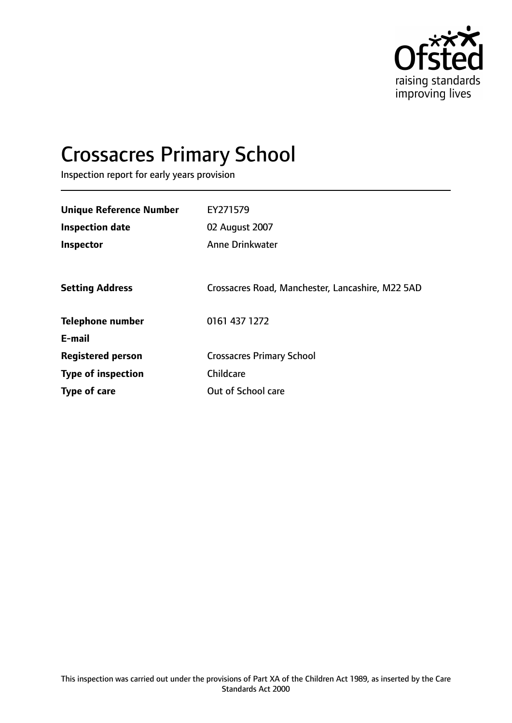

# Crossacres Primary School

Inspection report for early years provision

| <b>Unique Reference Number</b> | EY271579                                         |
|--------------------------------|--------------------------------------------------|
| <b>Inspection date</b>         | 02 August 2007                                   |
| <b>Inspector</b>               | <b>Anne Drinkwater</b>                           |
|                                |                                                  |
| <b>Setting Address</b>         | Crossacres Road, Manchester, Lancashire, M22 5AD |
| <b>Telephone number</b>        | 0161 437 1272                                    |
| E-mail                         |                                                  |
| <b>Registered person</b>       | <b>Crossacres Primary School</b>                 |
| <b>Type of inspection</b>      | Childcare                                        |
| Type of care                   | Out of School care                               |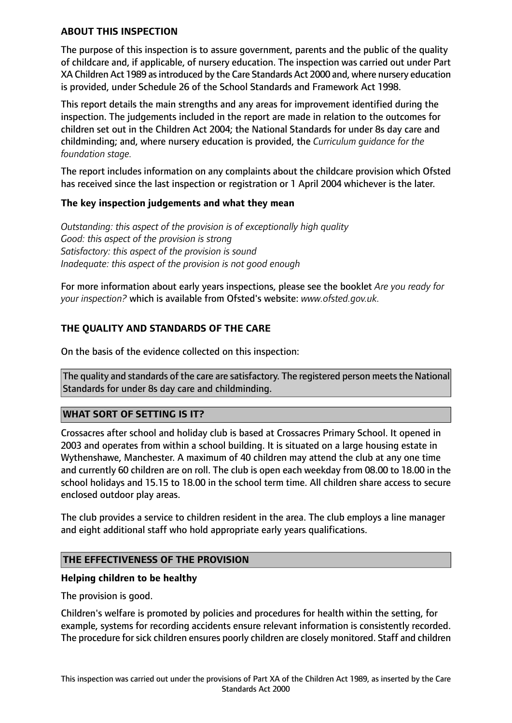## **ABOUT THIS INSPECTION**

The purpose of this inspection is to assure government, parents and the public of the quality of childcare and, if applicable, of nursery education. The inspection was carried out under Part XA Children Act 1989 as introduced by the Care Standards Act 2000 and, where nursery education is provided, under Schedule 26 of the School Standards and Framework Act 1998.

This report details the main strengths and any areas for improvement identified during the inspection. The judgements included in the report are made in relation to the outcomes for children set out in the Children Act 2004; the National Standards for under 8s day care and childminding; and, where nursery education is provided, the *Curriculum guidance for the foundation stage.*

The report includes information on any complaints about the childcare provision which Ofsted has received since the last inspection or registration or 1 April 2004 whichever is the later.

### **The key inspection judgements and what they mean**

*Outstanding: this aspect of the provision is of exceptionally high quality Good: this aspect of the provision is strong Satisfactory: this aspect of the provision is sound Inadequate: this aspect of the provision is not good enough*

For more information about early years inspections, please see the booklet *Are you ready for your inspection?* which is available from Ofsted's website: *www.ofsted.gov.uk.*

# **THE QUALITY AND STANDARDS OF THE CARE**

On the basis of the evidence collected on this inspection:

The quality and standards of the care are satisfactory. The registered person meets the National Standards for under 8s day care and childminding.

### **WHAT SORT OF SETTING IS IT?**

Crossacres after school and holiday club is based at Crossacres Primary School. It opened in 2003 and operates from within a school building. It is situated on a large housing estate in Wythenshawe, Manchester. A maximum of 40 children may attend the club at any one time and currently 60 children are on roll. The club is open each weekday from 08.00 to 18.00 in the school holidays and 15.15 to 18.00 in the school term time. All children share access to secure enclosed outdoor play areas.

The club provides a service to children resident in the area. The club employs a line manager and eight additional staff who hold appropriate early years qualifications.

### **THE EFFECTIVENESS OF THE PROVISION**

### **Helping children to be healthy**

The provision is good.

Children's welfare is promoted by policies and procedures for health within the setting, for example, systems for recording accidents ensure relevant information is consistently recorded. The procedure for sick children ensures poorly children are closely monitored. Staff and children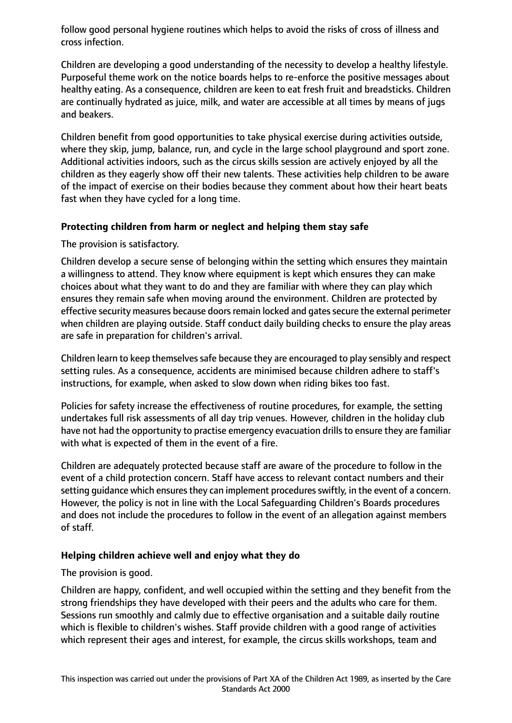follow good personal hygiene routines which helps to avoid the risks of cross of illness and cross infection.

Children are developing a good understanding of the necessity to develop a healthy lifestyle. Purposeful theme work on the notice boards helps to re-enforce the positive messages about healthy eating. As a consequence, children are keen to eat fresh fruit and breadsticks. Children are continually hydrated as juice, milk, and water are accessible at all times by means of jugs and beakers.

Children benefit from good opportunities to take physical exercise during activities outside, where they skip, jump, balance, run, and cycle in the large school playground and sport zone. Additional activities indoors, such as the circus skills session are actively enjoyed by all the children as they eagerly show off their new talents. These activities help children to be aware of the impact of exercise on their bodies because they comment about how their heart beats fast when they have cycled for a long time.

## **Protecting children from harm or neglect and helping them stay safe**

The provision is satisfactory.

Children develop a secure sense of belonging within the setting which ensures they maintain a willingness to attend. They know where equipment is kept which ensures they can make choices about what they want to do and they are familiar with where they can play which ensures they remain safe when moving around the environment. Children are protected by effective security measures because doors remain locked and gates secure the external perimeter when children are playing outside. Staff conduct daily building checks to ensure the play areas are safe in preparation for children's arrival.

Children learn to keep themselves safe because they are encouraged to play sensibly and respect setting rules. As a consequence, accidents are minimised because children adhere to staff's instructions, for example, when asked to slow down when riding bikes too fast.

Policies for safety increase the effectiveness of routine procedures, for example, the setting undertakes full risk assessments of all day trip venues. However, children in the holiday club have not had the opportunity to practise emergency evacuation drills to ensure they are familiar with what is expected of them in the event of a fire.

Children are adequately protected because staff are aware of the procedure to follow in the event of a child protection concern. Staff have access to relevant contact numbers and their setting quidance which ensures they can implement procedures swiftly, in the event of a concern. However, the policy is not in line with the Local Safeguarding Children's Boards procedures and does not include the procedures to follow in the event of an allegation against members of staff.

### **Helping children achieve well and enjoy what they do**

The provision is good.

Children are happy, confident, and well occupied within the setting and they benefit from the strong friendships they have developed with their peers and the adults who care for them. Sessions run smoothly and calmly due to effective organisation and a suitable daily routine which is flexible to children's wishes. Staff provide children with a good range of activities which represent their ages and interest, for example, the circus skills workshops, team and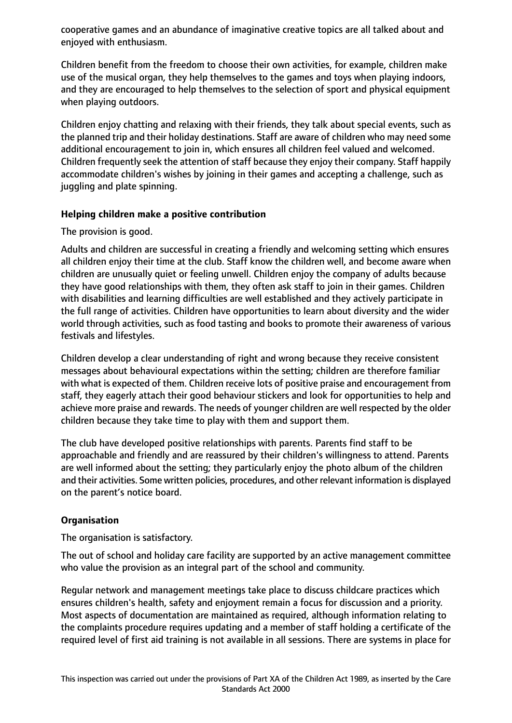cooperative games and an abundance of imaginative creative topics are all talked about and enjoyed with enthusiasm.

Children benefit from the freedom to choose their own activities, for example, children make use of the musical organ, they help themselves to the games and toys when playing indoors, and they are encouraged to help themselves to the selection of sport and physical equipment when playing outdoors.

Children enjoy chatting and relaxing with their friends, they talk about special events, such as the planned trip and their holiday destinations. Staff are aware of children who may need some additional encouragement to join in, which ensures all children feel valued and welcomed. Children frequently seek the attention of staff because they enjoy their company. Staff happily accommodate children's wishes by joining in their games and accepting a challenge, such as juggling and plate spinning.

## **Helping children make a positive contribution**

The provision is good.

Adults and children are successful in creating a friendly and welcoming setting which ensures all children enjoy their time at the club. Staff know the children well, and become aware when children are unusually quiet or feeling unwell. Children enjoy the company of adults because they have good relationships with them, they often ask staff to join in their games. Children with disabilities and learning difficulties are well established and they actively participate in the full range of activities. Children have opportunities to learn about diversity and the wider world through activities, such as food tasting and books to promote their awareness of various festivals and lifestyles.

Children develop a clear understanding of right and wrong because they receive consistent messages about behavioural expectations within the setting; children are therefore familiar with what is expected of them. Children receive lots of positive praise and encouragement from staff, they eagerly attach their good behaviour stickers and look for opportunities to help and achieve more praise and rewards. The needs of younger children are well respected by the older children because they take time to play with them and support them.

The club have developed positive relationships with parents. Parents find staff to be approachable and friendly and are reassured by their children's willingness to attend. Parents are well informed about the setting; they particularly enjoy the photo album of the children and their activities. Some written policies, procedures, and other relevant information is displayed on the parent's notice board.

# **Organisation**

The organisation is satisfactory.

The out of school and holiday care facility are supported by an active management committee who value the provision as an integral part of the school and community.

Regular network and management meetings take place to discuss childcare practices which ensures children's health, safety and enjoyment remain a focus for discussion and a priority. Most aspects of documentation are maintained as required, although information relating to the complaints procedure requires updating and a member of staff holding a certificate of the required level of first aid training is not available in all sessions. There are systems in place for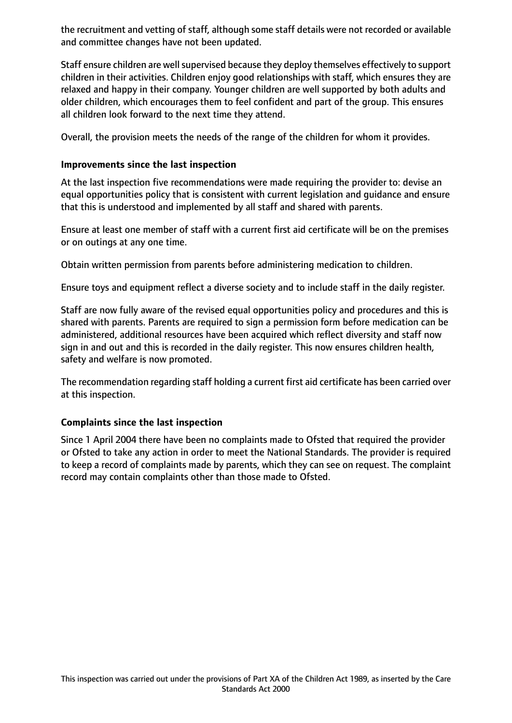the recruitment and vetting of staff, although some staff details were not recorded or available and committee changes have not been updated.

Staff ensure children are well supervised because they deploy themselves effectively to support children in their activities. Children enjoy good relationships with staff, which ensures they are relaxed and happy in their company. Younger children are well supported by both adults and older children, which encourages them to feel confident and part of the group. This ensures all children look forward to the next time they attend.

Overall, the provision meets the needs of the range of the children for whom it provides.

## **Improvements since the last inspection**

At the last inspection five recommendations were made requiring the provider to: devise an equal opportunities policy that is consistent with current legislation and guidance and ensure that this is understood and implemented by all staff and shared with parents.

Ensure at least one member of staff with a current first aid certificate will be on the premises or on outings at any one time.

Obtain written permission from parents before administering medication to children.

Ensure toys and equipment reflect a diverse society and to include staff in the daily register.

Staff are now fully aware of the revised equal opportunities policy and procedures and this is shared with parents. Parents are required to sign a permission form before medication can be administered, additional resources have been acquired which reflect diversity and staff now sign in and out and this is recorded in the daily register. This now ensures children health, safety and welfare is now promoted.

The recommendation regarding staff holding a current first aid certificate has been carried over at this inspection.

# **Complaints since the last inspection**

Since 1 April 2004 there have been no complaints made to Ofsted that required the provider or Ofsted to take any action in order to meet the National Standards. The provider is required to keep a record of complaints made by parents, which they can see on request. The complaint record may contain complaints other than those made to Ofsted.